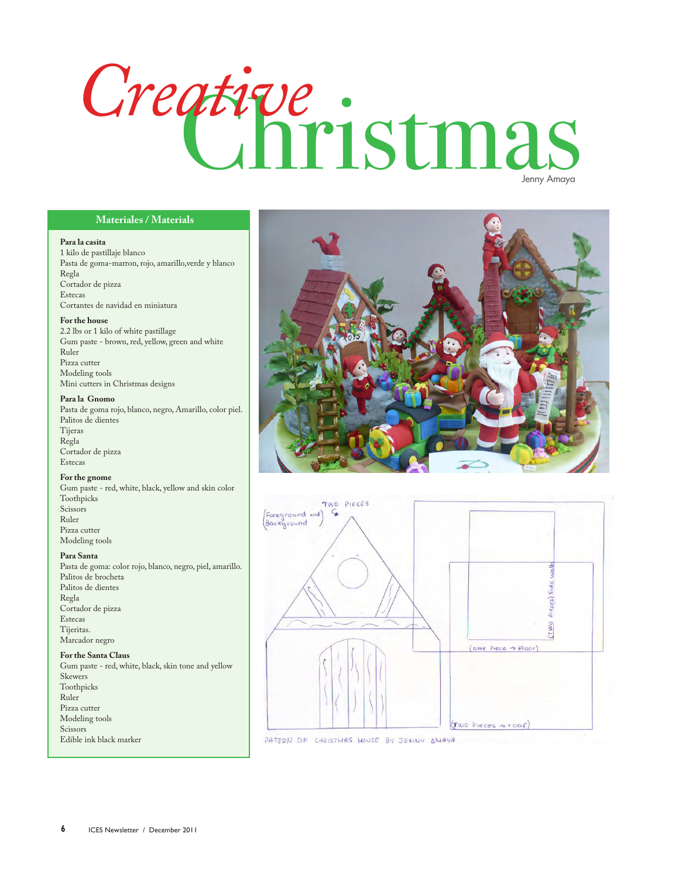# ative:<br>Christmas *Creative*

#### **Materiales / Materials**

#### **Para la casita**

1 kilo de pastillaje blanco Pasta de goma-marron, rojo, amarillo,verde y blanco Regla Cortador de pizza Estecas Cortantes de navidad en miniatura

#### **For the house**

2.2 lbs or 1 kilo of white pastillage Gum paste - brown, red, yellow, green and white Ruler Pizza cutter Modeling tools Mini cutters in Christmas designs

#### **Para la Gnomo**

Pasta de goma rojo, blanco, negro, Amarillo, color piel. Palitos de dientes Tijeras Regla Cortador de pizza Estecas

#### **For the gnome**

Gum paste - red, white, black, yellow and skin color Toothpicks Scissors Ruler Pizza cutter Modeling tools

#### **Para Santa**

Pasta de goma: color rojo, blanco, negro, piel, amarillo. Palitos de brocheta Palitos de dientes Regla Cortador de pizza Estecas Tijeritas. Marcador negro

#### **For the Santa Claus**

Gum paste - red, white, black, skin tone and yellow Skewers Toothpicks Ruler Pizza cutter Modeling tools Scissors Edible ink black marker





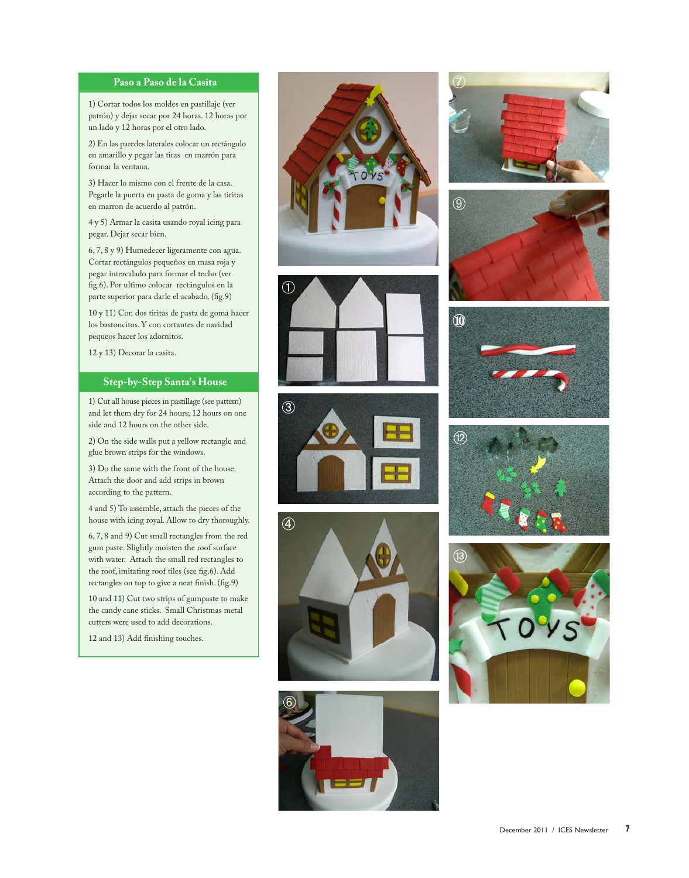#### **Paso a Paso de la Casita**

1) Cortar todos los moldes en pastillaje (ver patrón) y dejar secar por 24 horas. 12 horas por un lado y 12 horas por el otro lado.

2) En las paredes laterales colocar un rectángulo en amarillo y pegar las tiras en marrón para formar la ventana.

3) Hacer lo mismo con el frente de la casa. Pegarle la puerta en pasta de goma y las tiritas en marron de acuerdo al patrón.

4 y 5) Armar la casita usando royal icing para pegar. Dejar secar bien.

6, 7, 8 y 9) Humedecer ligeramente con agua. Cortar rectángulos pequeños en masa roja y pegar intercalado para formar el techo (ver fig.6). Por ultimo colocar rectángulos en la parte superior para darle el acabado. (fig.9)

10 y 11) Con dos tiritas de pasta de goma hacer los bastoncitos. Y con cortantes de navidad pequeos hacer los adornitos.

12 y 13) Decorar la casita.

#### **Step-by-Step Santa's House**

1) Cut all house pieces in pastillage (see pattern) and let them dry for 24 hours; 12 hours on one side and 12 hours on the other side.

2) On the side walls put a yellow rectangle and glue brown strips for the windows.

3) Do the same with the front of the house. Attach the door and add strips in brown according to the pattern.

4 and 5) To assemble, attach the pieces of the house with icing royal. Allow to dry thoroughly.

6, 7, 8 and 9) Cut small rectangles from the red gum paste. Slightly moisten the roof surface with water. Attach the small red rectangles to the roof, imitating roof tiles (see fig.6). Add rectangles on top to give a neat finish. (fig.9)

10 and 11) Cut two strips of gumpaste to make the candy cane sticks. Small Christmas metal cutters were used to add decorations.

12 and 13) Add finishing touches.



















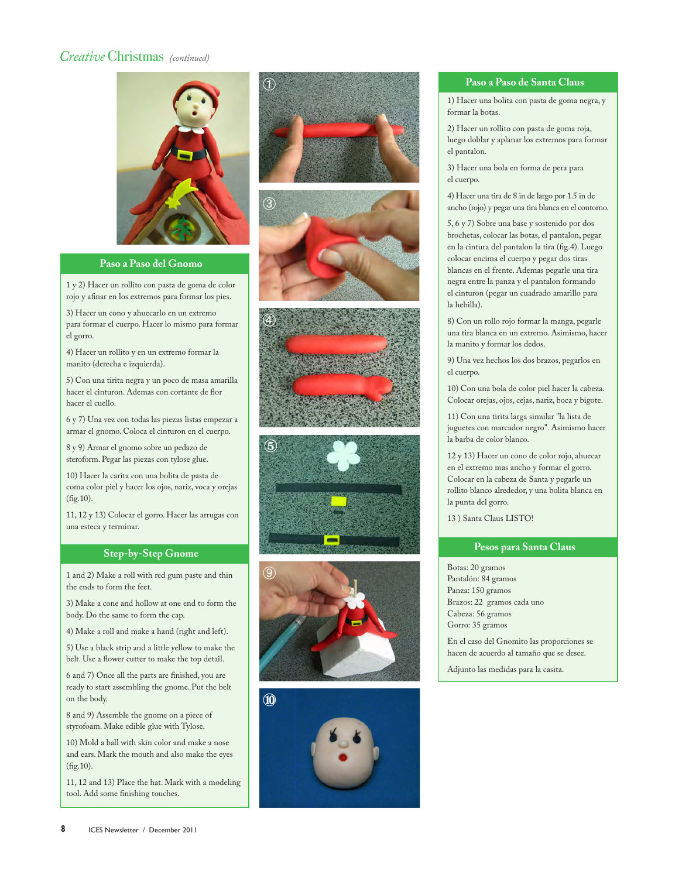# *Creative* Christmas *(continued)*



#### **Paso a Paso del Gnomo**

1 y 2) Hacer un rollito con pasta de goma de color rojo y afinar en los extremos para formar los pies.

3) Hacer un cono y ahuecarlo en un extremo para formar el cuerpo. Hacer lo mismo para formar el gorro.

4) Hacer un rollito y en un extremo formar la manito (derecha e izquierda).

5) Con una tirita negra y un poco de masa amarilla hacer el cinturon. Ademas con cortante de flor hacer el cuello.

6 y 7) Una vez con todas las piezas listas empezar a armar el gnomo. Coloca el cinturon en el cuerpo.

8 y 9) Armar el gnomo sobre un pedazo de steroform. Pegar las piezas con tylose glue.

10) Hacer la carita con una bolita de pasta de coma color piel y hacer los ojos, nariz, voca y orejas (fig.10).

11, 12 y 13) Colocar el gorro. Hacer las arrugas con una esteca y terminar.

## **Step-by-Step Gnome**

1 and 2) Make a roll with red gum paste and thin the ends to form the feet.

3) Make a cone and hollow at one end to form the body. Do the same to form the cap.

4) Make a roll and make a hand (right and left).

5) Use a black strip and a little yellow to make the belt. Use a flower cutter to make the top detail.

6 and 7) Once all the parts are finished, you are ready to start assembling the gnome. Put the belt on the body.

8 and 9) Assemble the gnome on a piece of styrofoam. Make edible glue with Tylose.

10) Mold a ball with skin color and make a nose and ears. Mark the mouth and also make the eyes (fig.10).

11, 12 and 13) Place the hat. Mark with a modeling tool. Add some finishing touches.













## **Paso a Paso de Santa Claus**

1) Hacer una bolita con pasta de goma negra, y formar la botas.

2) Hacer un rollito con pasta de goma roja, luego doblar y aplanar los extremos para formar el pantalon.

3) Hacer una bola en forma de pera para el cuerpo.

4) Hacer una tira de 8 in de largo por 1.5 in de ancho (rojo) y pegar una tira blanca en el contorno.

5, 6 y 7) Sobre una base y sostenido por dos brochetas, colocar las botas, el pantalon, pegar en la cintura del pantalon la tira (fig.4). Luego colocar encima el cuerpo y pegar dos tiras blancas en el frente. Ademas pegarle una tira negra entre la panza y el pantalon formando el cinturon (pegar un cuadrado amarillo para la hebilla).

8) Con un rollo rojo formar la manga, pegarle una tira blanca en un extremo. Asimismo, hacer la manito y formar los dedos.

9) Una vez hechos los dos brazos, pegarlos en el cuerpo.

10) Con una bola de color piel hacer la cabeza. Colocar orejas, ojos, cejas, nariz, boca y bigote.

11) Con una tirita larga simular "la lista de juguetes con marcador negro". Asimismo hacer la barba de color blanco.

12 y 13) Hacer un cono de color rojo, ahuecar en el extremo mas ancho y formar el gorro. Colocar en la cabeza de Santa y pegarle un rollito blanco alrededor, y una bolita blanca en la punta del gorro.

13 ) Santa Claus LISTO!

## **Pesos para Santa Claus**

Botas: 20 gramos Pantalón: 84 gramos Panza: 150 gramos Brazos: 22 gramos cada uno Cabeza: 56 gramos Gorro: 35 gramos

En el caso del Gnomito las proporciones se hacen de acuerdo al tamaño que se desee.

Adjunto las medidas para la casita.